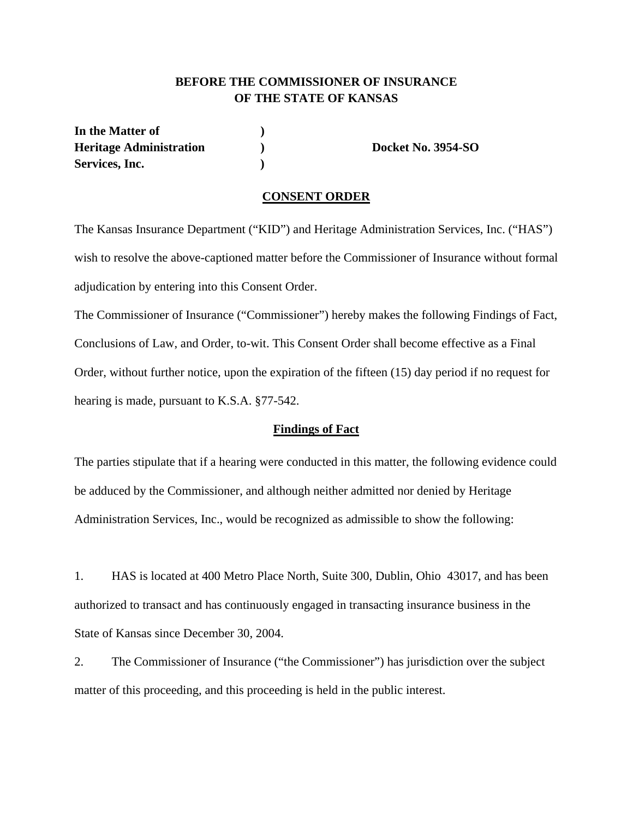## **BEFORE THE COMMISSIONER OF INSURANCE OF THE STATE OF KANSAS**

In the Matter of  $\qquad \qquad$  ) **Heritage Administration ) Docket No. 3954-SO**  Services, Inc. (1)

#### **CONSENT ORDER**

The Kansas Insurance Department ("KID") and Heritage Administration Services, Inc. ("HAS") wish to resolve the above-captioned matter before the Commissioner of Insurance without formal adjudication by entering into this Consent Order.

The Commissioner of Insurance ("Commissioner") hereby makes the following Findings of Fact, Conclusions of Law, and Order, to-wit. This Consent Order shall become effective as a Final Order, without further notice, upon the expiration of the fifteen (15) day period if no request for hearing is made, pursuant to K.S.A. §77-542.

#### **Findings of Fact**

The parties stipulate that if a hearing were conducted in this matter, the following evidence could be adduced by the Commissioner, and although neither admitted nor denied by Heritage Administration Services, Inc., would be recognized as admissible to show the following:

1. HAS is located at 400 Metro Place North, Suite 300, Dublin, Ohio 43017, and has been authorized to transact and has continuously engaged in transacting insurance business in the State of Kansas since December 30, 2004.

2. The Commissioner of Insurance ("the Commissioner") has jurisdiction over the subject matter of this proceeding, and this proceeding is held in the public interest.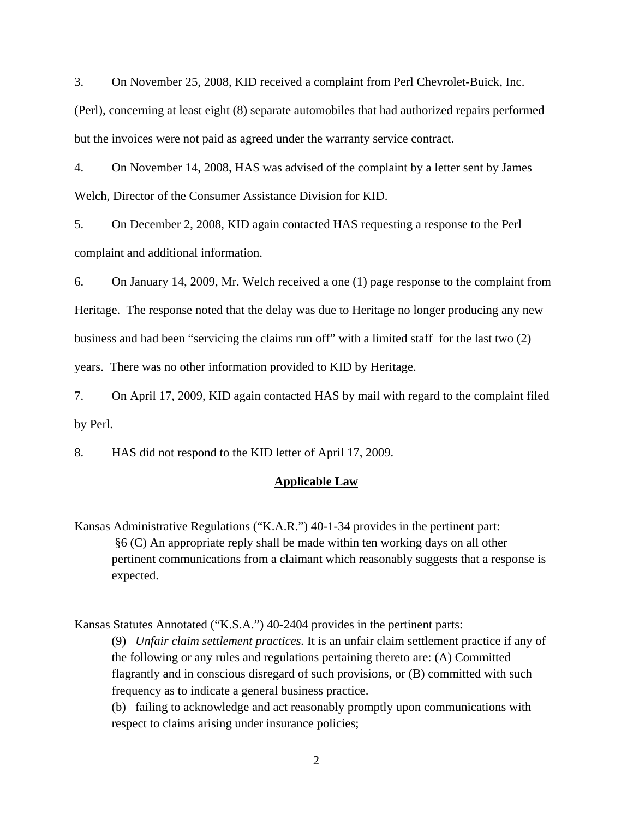3. On November 25, 2008, KID received a complaint from Perl Chevrolet-Buick, Inc.

(Perl), concerning at least eight (8) separate automobiles that had authorized repairs performed but the invoices were not paid as agreed under the warranty service contract.

4. On November 14, 2008, HAS was advised of the complaint by a letter sent by James Welch, Director of the Consumer Assistance Division for KID.

5. On December 2, 2008, KID again contacted HAS requesting a response to the Perl complaint and additional information.

6. On January 14, 2009, Mr. Welch received a one (1) page response to the complaint from Heritage. The response noted that the delay was due to Heritage no longer producing any new business and had been "servicing the claims run off" with a limited staff for the last two (2) years. There was no other information provided to KID by Heritage.

7. On April 17, 2009, KID again contacted HAS by mail with regard to the complaint filed by Perl.

8. HAS did not respond to the KID letter of April 17, 2009.

## **Applicable Law**

Kansas Administrative Regulations ("K.A.R.") 40-1-34 provides in the pertinent part: §6 (C) An appropriate reply shall be made within ten working days on all other pertinent communications from a claimant which reasonably suggests that a response is expected.

Kansas Statutes Annotated ("K.S.A.") 40-2404 provides in the pertinent parts:

(9) *Unfair claim settlement practices.* It is an unfair claim settlement practice if any of the following or any rules and regulations pertaining thereto are: (A) Committed flagrantly and in conscious disregard of such provisions, or (B) committed with such frequency as to indicate a general business practice.

(b) failing to acknowledge and act reasonably promptly upon communications with respect to claims arising under insurance policies;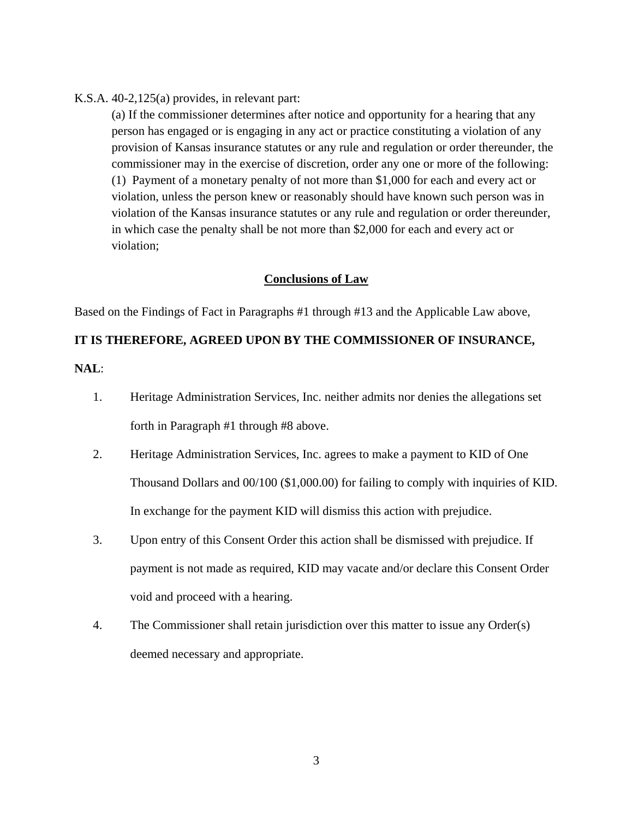#### K.S.A. 40-2,125(a) provides, in relevant part:

(a) If the commissioner determines after notice and opportunity for a hearing that any person has engaged or is engaging in any act or practice constituting a violation of any provision of Kansas insurance statutes or any rule and regulation or order thereunder, the commissioner may in the exercise of discretion, order any one or more of the following: (1) Payment of a monetary penalty of not more than \$1,000 for each and every act or violation, unless the person knew or reasonably should have known such person was in violation of the Kansas insurance statutes or any rule and regulation or order thereunder, in which case the penalty shall be not more than \$2,000 for each and every act or violation;

#### **Conclusions of Law**

Based on the Findings of Fact in Paragraphs #1 through #13 and the Applicable Law above,

### **IT IS THEREFORE, AGREED UPON BY THE COMMISSIONER OF INSURANCE,**

**NAL**:

- 1. Heritage Administration Services, Inc. neither admits nor denies the allegations set forth in Paragraph #1 through #8 above.
- 2. Heritage Administration Services, Inc. agrees to make a payment to KID of One Thousand Dollars and 00/100 (\$1,000.00) for failing to comply with inquiries of KID. In exchange for the payment KID will dismiss this action with prejudice.
- 3. Upon entry of this Consent Order this action shall be dismissed with prejudice. If payment is not made as required, KID may vacate and/or declare this Consent Order void and proceed with a hearing.
- 4. The Commissioner shall retain jurisdiction over this matter to issue any Order(s) deemed necessary and appropriate.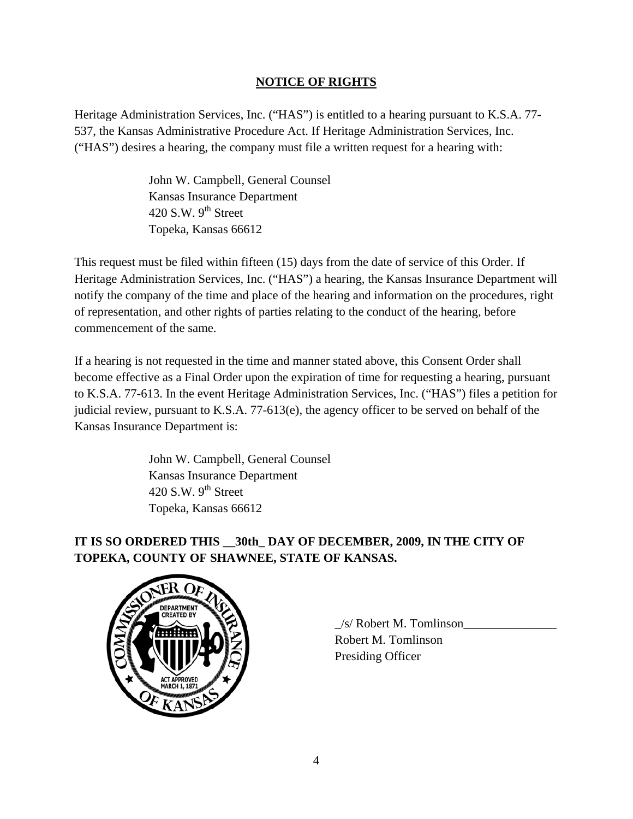## **NOTICE OF RIGHTS**

Heritage Administration Services, Inc. ("HAS") is entitled to a hearing pursuant to K.S.A. 77- 537, the Kansas Administrative Procedure Act. If Heritage Administration Services, Inc. ("HAS") desires a hearing, the company must file a written request for a hearing with:

> John W. Campbell, General Counsel Kansas Insurance Department  $420$  S.W. 9<sup>th</sup> Street Topeka, Kansas 66612

This request must be filed within fifteen (15) days from the date of service of this Order. If Heritage Administration Services, Inc. ("HAS") a hearing, the Kansas Insurance Department will notify the company of the time and place of the hearing and information on the procedures, right of representation, and other rights of parties relating to the conduct of the hearing, before commencement of the same.

If a hearing is not requested in the time and manner stated above, this Consent Order shall become effective as a Final Order upon the expiration of time for requesting a hearing, pursuant to K.S.A. 77-613. In the event Heritage Administration Services, Inc. ("HAS") files a petition for judicial review, pursuant to K.S.A. 77-613(e), the agency officer to be served on behalf of the Kansas Insurance Department is:

> John W. Campbell, General Counsel Kansas Insurance Department 420 S.W.  $9^{th}$  Street Topeka, Kansas 66612

# **IT IS SO ORDERED THIS \_\_30th\_ DAY OF DECEMBER, 2009, IN THE CITY OF TOPEKA, COUNTY OF SHAWNEE, STATE OF KANSAS.**



 \_/s/ Robert M. Tomlinson\_\_\_\_\_\_\_\_\_\_\_\_\_\_\_ Robert M. Tomlinson Presiding Officer